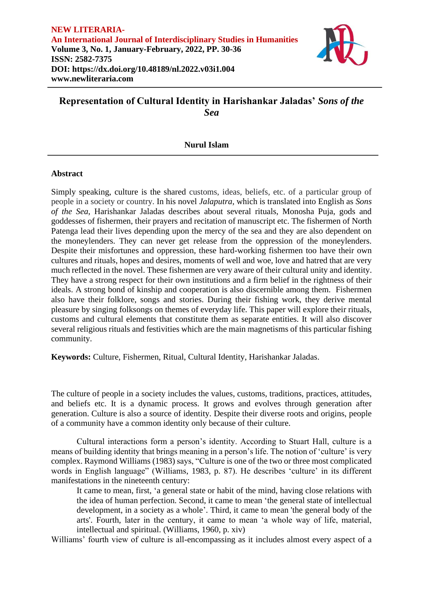

# **Representation of Cultural Identity in Harishankar Jaladas'** *Sons of the Sea*

## **Nurul Islam**

### **Abstract**

Simply speaking, culture is the shared customs, ideas, beliefs, etc. of a particular group of people in a society or country. In his novel *Jalaputra*, which is translated into English as *Sons of the Sea*, Harishankar Jaladas describes about several rituals, Monosha Puja, gods and goddesses of fishermen, their prayers and recitation of manuscript etc. The fishermen of North Patenga lead their lives depending upon the mercy of the sea and they are also dependent on the moneylenders. They can never get release from the oppression of the moneylenders. Despite their misfortunes and oppression, these hard-working fishermen too have their own cultures and rituals, hopes and desires, moments of well and woe, love and hatred that are very much reflected in the novel. These fishermen are very aware of their cultural unity and identity. They have a strong respect for their own institutions and a firm belief in the rightness of their ideals. A strong bond of kinship and cooperation is also discernible among them. Fishermen also have their folklore, songs and stories. During their fishing work, they derive mental pleasure by singing folksongs on themes of everyday life. This paper will explore their rituals, customs and cultural elements that constitute them as separate entities. It will also discover several religious rituals and festivities which are the main magnetisms of this particular fishing community.

**Keywords:** Culture, Fishermen, Ritual, Cultural Identity, Harishankar Jaladas.

The culture of people in a society includes the values, customs, traditions, practices, attitudes, and beliefs etc. It is a dynamic process. It grows and evolves through generation after generation. Culture is also a source of identity. Despite their diverse roots and origins, people of a community have a common identity only because of their culture.

Cultural interactions form a person's identity. According to Stuart Hall, culture is a means of building identity that brings meaning in a person's life. The notion of 'culture' is very complex. Raymond Williams (1983) says, "Culture is one of the two or three most complicated words in English language" (Williams, 1983, p. 87). He describes 'culture' in its different manifestations in the nineteenth century:

It came to mean, first, 'a general state or habit of the mind, having close relations with the idea of human perfection. Second, it came to mean 'the general state of intellectual development, in a society as a whole'. Third, it came to mean 'the general body of the arts'. Fourth, later in the century, it came to mean 'a whole way of life, material, intellectual and spiritual. (Williams, 1960, p. xiv)

Williams' fourth view of culture is all-encompassing as it includes almost every aspect of a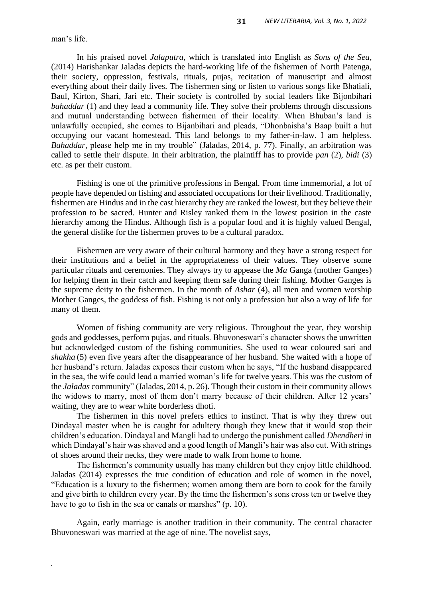man's life.

*.*

In his praised novel *Jalaputra*, which is translated into English as *Sons of the Sea*, (2014) Harishankar Jaladas depicts the hard-working life of the fishermen of North Patenga, their society, oppression, festivals, rituals, pujas, recitation of manuscript and almost everything about their daily lives. The fishermen sing or listen to various songs like Bhatiali, Baul, Kirton, Shari, Jari etc. Their society is controlled by social leaders like Bijonbihari *bahaddar* (1) and they lead a community life. They solve their problems through discussions and mutual understanding between fishermen of their locality. When Bhuban's land is unlawfully occupied, she comes to Bijanbihari and pleads, "Dhonbaisha's Baap built a hut occupying our vacant homestead. This land belongs to my father-in-law. I am helpless. *Bahaddar,* please help me in my trouble" (Jaladas, 2014, p. 77). Finally, an arbitration was called to settle their dispute. In their arbitration, the plaintiff has to provide *pan* (2), *bidi* (3) etc. as per their custom.

Fishing is one of the primitive professions in Bengal. From time immemorial, a lot of people have depended on fishing and associated occupations for their livelihood. Traditionally, fishermen are Hindus and in the cast hierarchy they are ranked the lowest, but they believe their profession to be sacred. Hunter and Risley ranked them in the lowest position in the caste hierarchy among the Hindus. Although fish is a popular food and it is highly valued Bengal, the general dislike for the fishermen proves to be a cultural paradox.

Fishermen are very aware of their cultural harmony and they have a strong respect for their institutions and a belief in the appropriateness of their values. They observe some particular rituals and ceremonies. They always try to appease the *Ma* Ganga (mother Ganges) for helping them in their catch and keeping them safe during their fishing. Mother Ganges is the supreme deity to the fishermen. In the month of *Ashar* (4), all men and women worship Mother Ganges, the goddess of fish. Fishing is not only a profession but also a way of life for many of them.

Women of fishing community are very religious. Throughout the year, they worship gods and goddesses, perform pujas, and rituals. Bhuvoneswari's character shows the unwritten but acknowledged custom of the fishing communities. She used to wear coloured sari and *shakha* (5) even five years after the disappearance of her husband. She waited with a hope of her husband's return. Jaladas exposes their custom when he says, "If the husband disappeared in the sea, the wife could lead a married woman's life for twelve years. This was the custom of the *Jaladas* community" (Jaladas, 2014, p. 26). Though their custom in their community allows the widows to marry, most of them don't marry because of their children. After 12 years' waiting, they are to wear white borderless dhoti.

The fishermen in this novel prefers ethics to instinct. That is why they threw out Dindayal master when he is caught for adultery though they knew that it would stop their children's education. Dindayal and Mangli had to undergo the punishment called *Dhendheri* in which Dindayal's hair was shaved and a good length of Mangli's hair was also cut. With strings of shoes around their necks, they were made to walk from home to home.

The fishermen's community usually has many children but they enjoy little childhood. Jaladas (2014) expresses the true condition of education and role of women in the novel, "Education is a luxury to the fishermen; women among them are born to cook for the family and give birth to children every year. By the time the fishermen's sons cross ten or twelve they have to go to fish in the sea or canals or marshes" (p. 10).

Again, early marriage is another tradition in their community. The central character Bhuvoneswari was married at the age of nine. The novelist says,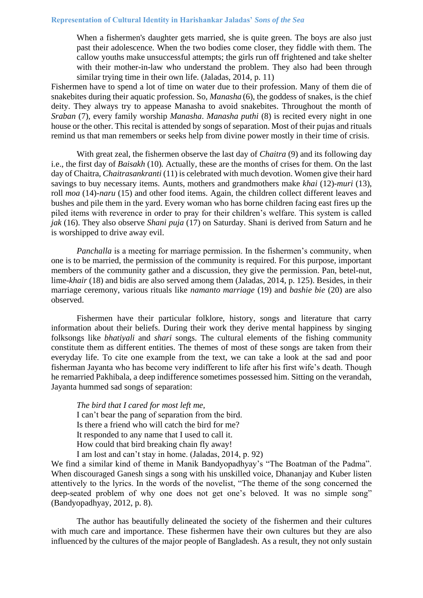When a fishermen's daughter gets married, she is quite green. The boys are also just past their adolescence. When the two bodies come closer, they fiddle with them. The callow youths make unsuccessful attempts; the girls run off frightened and take shelter with their mother-in-law who understand the problem. They also had been through similar trying time in their own life. (Jaladas, 2014, p. 11)

Fishermen have to spend a lot of time on water due to their profession. Many of them die of snakebites during their aquatic profession. So, *Manasha* (6), the goddess of snakes, is the chief deity. They always try to appease Manasha to avoid snakebites. Throughout the month of *Sraban* (7)*,* every family worship *Manasha*. *Manasha puthi* (8) is recited every night in one house or the other. This recital is attended by songs of separation. Most of their pujas and rituals remind us that man remembers or seeks help from divine power mostly in their time of crisis.

With great zeal, the fishermen observe the last day of *Chaitra* (9) and its following day i.e., the first day of *Baisakh* (10)*.* Actually, these are the months of crises for them. On the last day of Chaitra, *Chaitrasankranti* (11) is celebrated with much devotion. Women give their hard savings to buy necessary items. Aunts, mothers and grandmothers make *khai* (12)*-muri* (13), roll *moa* (14)*-naru* (15) and other food items. Again, the children collect different leaves and bushes and pile them in the yard. Every woman who has borne children facing east fires up the piled items with reverence in order to pray for their children's welfare. This system is called *jak* (16). They also observe *Shani puja* (17) on Saturday. Shani is derived from Saturn and he is worshipped to drive away evil.

*Panchalla* is a meeting for marriage permission. In the fishermen's community, when one is to be married, the permission of the community is required. For this purpose, important members of the community gather and a discussion, they give the permission. Pan, betel-nut, lime-*khair* (18) and bidis are also served among them (Jaladas, 2014, p. 125). Besides, in their marriage ceremony, various rituals like *namanto marriage* (19) and *bashie bie* (20) are also observed.

Fishermen have their particular folklore, history, songs and literature that carry information about their beliefs. During their work they derive mental happiness by singing folksongs like *bhatiyali* and *shari* songs. The cultural elements of the fishing community constitute them as different entities. The themes of most of these songs are taken from their everyday life. To cite one example from the text, we can take a look at the sad and poor fisherman Jayanta who has become very indifferent to life after his first wife's death. Though he remarried Pakhibala, a deep indifference sometimes possessed him. Sitting on the verandah, Jayanta hummed sad songs of separation:

*The bird that I cared for most left me,* I can't bear the pang of separation from the bird. Is there a friend who will catch the bird for me? It responded to any name that I used to call it. How could that bird breaking chain fly away! I am lost and can't stay in home. (Jaladas, 2014, p. 92)

We find a similar kind of theme in Manik Bandyopadhyay's "The Boatman of the Padma". When discouraged Ganesh sings a song with his unskilled voice, Dhananjay and Kuber listen attentively to the lyrics. In the words of the novelist, "The theme of the song concerned the deep-seated problem of why one does not get one's beloved. It was no simple song" (Bandyopadhyay, 2012, p. 8).

The author has beautifully delineated the society of the fishermen and their cultures with much care and importance. These fishermen have their own cultures but they are also influenced by the cultures of the major people of Bangladesh. As a result, they not only sustain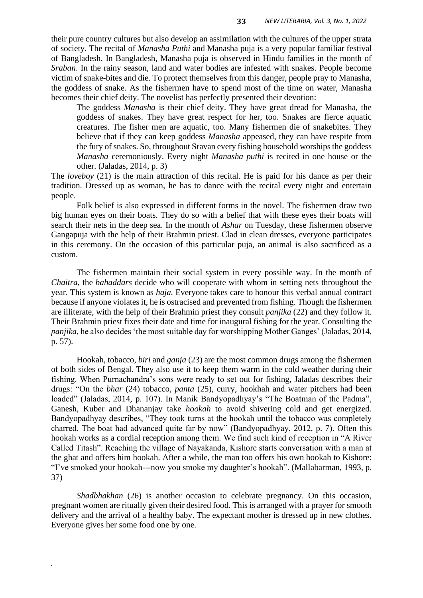their pure country cultures but also develop an assimilation with the cultures of the upper strata of society. The recital of *Manasha Puthi* and Manasha puja is a very popular familiar festival of Bangladesh. In Bangladesh, Manasha puja is observed in Hindu families in the month of *Sraban*. In the rainy season, land and water bodies are infested with snakes. People become victim of snake-bites and die. To protect themselves from this danger, people pray to Manasha, the goddess of snake. As the fishermen have to spend most of the time on water, Manasha becomes their chief deity. The novelist has perfectly presented their devotion:

The goddess *Manasha* is their chief deity. They have great dread for Manasha, the goddess of snakes. They have great respect for her, too. Snakes are fierce aquatic creatures. The fisher men are aquatic, too. Many fishermen die of snakebites. They believe that if they can keep goddess *Manasha* appeased, they can have respite from the fury of snakes. So, throughout Sravan every fishing household worships the goddess *Manasha* ceremoniously. Every night *Manasha puthi* is recited in one house or the other. (Jaladas, 2014, p. 3)

The *loveboy* (21) is the main attraction of this recital. He is paid for his dance as per their tradition. Dressed up as woman, he has to dance with the recital every night and entertain people.

Folk belief is also expressed in different forms in the novel. The fishermen draw two big human eyes on their boats. They do so with a belief that with these eyes their boats will search their nets in the deep sea. In the month of *Ashar* on Tuesday, these fishermen observe Gangapuja with the help of their Brahmin priest. Clad in clean dresses, everyone participates in this ceremony. On the occasion of this particular puja, an animal is also sacrificed as a custom.

The fishermen maintain their social system in every possible way. In the month of *Chaitra*, the *bahaddars* decide who will cooperate with whom in setting nets throughout the year. This system is known as *haja.* Everyone takes care to honour this verbal annual contract because if anyone violates it, he is ostracised and prevented from fishing. Though the fishermen are illiterate, with the help of their Brahmin priest they consult *panjika* (22) and they follow it. Their Brahmin priest fixes their date and time for inaugural fishing for the year. Consulting the *panjika,* he also decides 'the most suitable day for worshipping Mother Ganges' (Jaladas, 2014, p. 57).

Hookah, tobacco, *biri* and *ganja* (23) are the most common drugs among the fishermen of both sides of Bengal. They also use it to keep them warm in the cold weather during their fishing. When Purnachandra's sons were ready to set out for fishing, Jaladas describes their drugs: "On the *bhar* (24) tobacco, *panta* (25), curry, hookhah and water pitchers had been loaded" (Jaladas, 2014, p. 107). In Manik Bandyopadhyay's "The Boatman of the Padma", Ganesh, Kuber and Dhananjay take *hookah* to avoid shivering cold and get energized. Bandyopadhyay describes, "They took turns at the hookah until the tobacco was completely charred. The boat had advanced quite far by now" (Bandyopadhyay, 2012, p. 7). Often this hookah works as a cordial reception among them. We find such kind of reception in "A River Called Titash". Reaching the village of Nayakanda, Kishore starts conversation with a man at the ghat and offers him hookah. After a while, the man too offers his own hookah to Kishore: "I've smoked your hookah---now you smoke my daughter's hookah". (Mallabarman, 1993, p. 37)

*Shadbhakhan* (26) is another occasion to celebrate pregnancy. On this occasion, pregnant women are ritually given their desired food. This is arranged with a prayer for smooth delivery and the arrival of a healthy baby. The expectant mother is dressed up in new clothes. Everyone gives her some food one by one.

*.*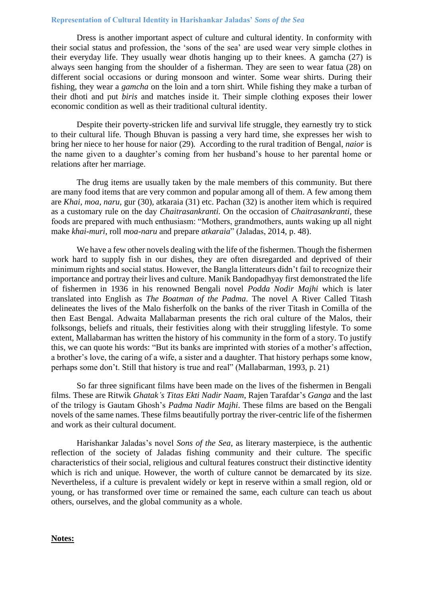#### **Representation of Cultural Identity in Harishankar Jaladas'** *Sons of the Sea*

Dress is another important aspect of culture and cultural identity. In conformity with their social status and profession, the 'sons of the sea' are used wear very simple clothes in their everyday life. They usually wear dhotis hanging up to their knees. A gamcha (27) is always seen hanging from the shoulder of a fisherman. They are seen to wear fatua (28) on different social occasions or during monsoon and winter. Some wear shirts. During their fishing, they wear a *gamcha* on the loin and a torn shirt. While fishing they make a turban of their dhoti and put *biris* and matches inside it. Their simple clothing exposes their lower economic condition as well as their traditional cultural identity.

Despite their poverty-stricken life and survival life struggle, they earnestly try to stick to their cultural life. Though Bhuvan is passing a very hard time, she expresses her wish to bring her niece to her house for naior (29)*.* According to the rural tradition of Bengal, *naior* is the name given to a daughter's coming from her husband's house to her parental home or relations after her marriage.

The drug items are usually taken by the male members of this community. But there are many food items that are very common and popular among all of them. A few among them are *Khai, moa, naru,* gur (30)*,* atkaraia (31) etc. Pachan (32) is another item which is required as a customary rule on the day *Chaitrasankranti.* On the occasion of *Chaitrasankranti,* these foods are prepared with much enthusiasm: "Mothers, grandmothers, aunts waking up all night make *khai-muri*, roll *moa-naru* and prepare *atkaraia*" (Jaladas, 2014, p. 48).

We have a few other novels dealing with the life of the fishermen. Though the fishermen work hard to supply fish in our dishes, they are often disregarded and deprived of their minimum rights and social status. However, the Bangla litterateurs didn't fail to recognize their importance and portray their lives and culture. Manik Bandopadhyay first demonstrated the life of fishermen in 1936 in his renowned Bengali novel *Podda Nodir Majhi* which is later translated into English as *The Boatman of the Padma*. The novel A River Called Titash delineates the lives of the Malo fisherfolk on the banks of the river Titash in Comilla of the then East Bengal. Adwaita Mallabarman presents the rich oral culture of the Malos, their folksongs, beliefs and rituals, their festivities along with their struggling lifestyle. To some extent, Mallabarman has written the history of his community in the form of a story. To justify this, we can quote his words: "But its banks are imprinted with stories of a mother's affection, a brother's love, the caring of a wife, a sister and a daughter. That history perhaps some know, perhaps some don't. Still that history is true and real" (Mallabarman, 1993, p. 21)

So far three significant films have been made on the lives of the fishermen in Bengali films. These are Ritwik *Ghatak's Titas Ekti Nadir Naam*, Rajen Tarafdar's *Ganga* and the last of the trilogy is Gautam Ghosh's *Padma Nadir Majhi*. These films are based on the Bengali novels of the same names. These films beautifully portray the river-centric life of the fishermen and work as their cultural document.

Harishankar Jaladas's novel *Sons of the Sea*, as literary masterpiece, is the authentic reflection of the society of Jaladas fishing community and their culture. The specific characteristics of their social, religious and cultural features construct their distinctive identity which is rich and unique. However, the worth of culture cannot be demarcated by its size. Nevertheless, if a culture is prevalent widely or kept in reserve within a small region, old or young, or has transformed over time or remained the same, each culture can teach us about others, ourselves, and the global community as a whole.

#### **Notes:**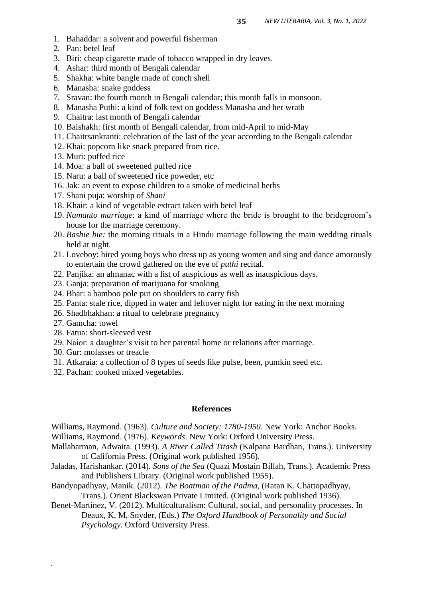- 1. Bahaddar: a solvent and powerful fisherman
- 2. Pan: betel leaf
- 3. Biri: cheap cigarette made of tobacco wrapped in dry leaves.
- 4. Ashar: third month of Bengali calendar
- 5. Shakha: white bangle made of conch shell
- 6. Manasha: snake goddess
- 7. Sravan: the fourth month in Bengali calendar; this month falls in monsoon.
- 8. Manasha Puthi: a kind of folk text on goddess Manasha and her wrath
- 9. Chaitra: last month of Bengali calendar
- 10. Baishakh: first month of Bengali calendar, from mid-April to mid-May
- 11. Chaitrsankranti: celebration of the last of the year according to the Bengali calendar
- 12. Khai: popcorn like snack prepared from rice.
- 13. Muri: puffed rice
- 14. Moa: a ball of sweetened puffed rice
- 15. Naru: a ball of sweetened rice poweder, etc
- 16. Jak: an event to expose children to a smoke of medicinal herbs
- 17. Shani puja: worship of *Shani*
- 18. Khair: a kind of vegetable extract taken with betel leaf
- 19. *Namanto marriage*: a kind of marriage where the bride is brought to the bridegroom's house for the marriage ceremony.
- 20. *Bashie bie:* the morning rituals in a Hindu marriage following the main wedding rituals held at night.
- 21. Loveboy: hired young boys who dress up as young women and sing and dance amorously to entertain the crowd gathered on the eve of *puthi* recital.
- 22. Panjika: an almanac with a list of auspicious as well as inauspicious days.
- 23. Ganja: preparation of marijuana for smoking
- 24. Bhar: a bamboo pole put on shoulders to carry fish
- 25. Panta: stale rice, dipped in water and leftover night for eating in the next morning
- 26. Shadbhakhan: a ritual to celebrate pregnancy
- 27. Gamcha: towel

*.*

- 28. Fatua: short-sleeved vest
- 29. Naior: a daughter's visit to her parental home or relations after marriage.
- 30. Gur: molasses or treacle
- 31. Atkaraia: a collection of 8 types of seeds like pulse, been, pumkin seed etc.
- 32. Pachan: cooked mixed vegetables.

#### **References**

Williams, Raymond. (1963). *Culture and Society: 1780-1950*. New York: Anchor Books.

Williams, Raymond. (1976). *Keywords*. New York: Oxford University Press.

Mallabarman, Adwaita. (1993). *A River Called Titash* (Kalpana Bardhan, Trans.). University of California Press. (Original work published 1956).

- Jaladas, Harishankar. (2014). *Sons of the Sea* (Quazi Mostain Billah, Trans.). Academic Press and Publishers Library. (Original work published 1955).
- Bandyopadhyay, Manik. (2012). *The Boatman of the Padma,* (Ratan K. Chattopadhyay, Trans.). Orient Blackswan Private Limited. (Original work published 1936).
- Benet-Martínez, V. (2012). Multiculturalism: Cultural, social, and personality processes. In Deaux, K, M, Snyder, (Eds.) *The Oxford Handbook of Personality and Social Psychology.* Oxford University Press.